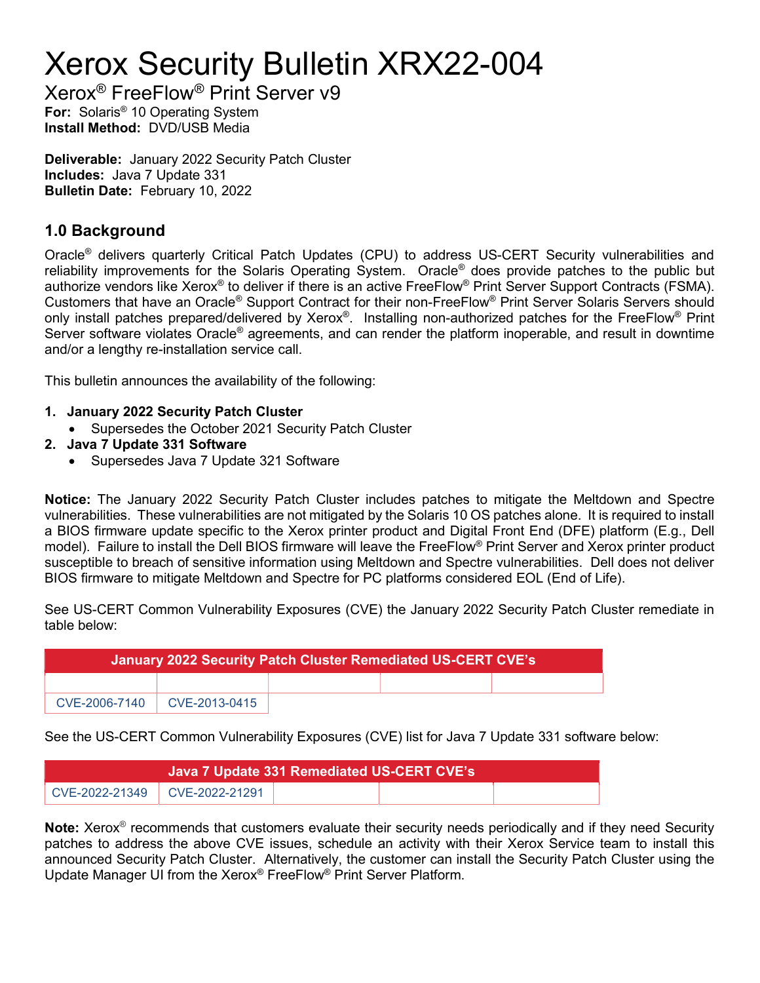# Xerox Security Bulletin XRX22-004

Xerox® FreeFlow® Print Server v9 For: Solaris<sup>®</sup> 10 Operating System Install Method: DVD/USB Media

Deliverable: January 2022 Security Patch Cluster Includes: Java 7 Update 331 Bulletin Date: February 10, 2022

## 1.0 Background

Oracle<sup>®</sup> delivers quarterly Critical Patch Updates (CPU) to address US-CERT Security vulnerabilities and reliability improvements for the Solaris Operating System. Oracle® does provide patches to the public but authorize vendors like Xerox® to deliver if there is an active FreeFlow® Print Server Support Contracts (FSMA). Customers that have an Oracle® Support Contract for their non-FreeFlow® Print Server Solaris Servers should only install patches prepared/delivered by Xerox®. Installing non-authorized patches for the FreeFlow® Print Server software violates Oracle® agreements, and can render the platform inoperable, and result in downtime and/or a lengthy re-installation service call.

This bulletin announces the availability of the following:

- 1. January 2022 Security Patch Cluster
	- Supersedes the October 2021 Security Patch Cluster
- 2. Java 7 Update 331 Software
	- Supersedes Java 7 Update 321 Software

Notice: The January 2022 Security Patch Cluster includes patches to mitigate the Meltdown and Spectre vulnerabilities. These vulnerabilities are not mitigated by the Solaris 10 OS patches alone. It is required to install a BIOS firmware update specific to the Xerox printer product and Digital Front End (DFE) platform (E.g., Dell model). Failure to install the Dell BIOS firmware will leave the FreeFlow® Print Server and Xerox printer product susceptible to breach of sensitive information using Meltdown and Spectre vulnerabilities. Dell does not deliver BIOS firmware to mitigate Meltdown and Spectre for PC platforms considered EOL (End of Life).

See US-CERT Common Vulnerability Exposures (CVE) the January 2022 Security Patch Cluster remediate in table below:

| January 2022 Security Patch Cluster Remediated US-CERT CVE's |                      |  |  |  |  |  |
|--------------------------------------------------------------|----------------------|--|--|--|--|--|
|                                                              |                      |  |  |  |  |  |
| CVE-2006-7140                                                | $\mid$ CVE-2013-0415 |  |  |  |  |  |

See the US-CERT Common Vulnerability Exposures (CVE) list for Java 7 Update 331 software below:

| Java 7 Update 331 Remediated US-CERT CVE's |  |  |  |  |  |  |
|--------------------------------------------|--|--|--|--|--|--|
| CVE-2022-21349   CVE-2022-21291            |  |  |  |  |  |  |

Note: Xerox<sup>®</sup> recommends that customers evaluate their security needs periodically and if they need Security patches to address the above CVE issues, schedule an activity with their Xerox Service team to install this announced Security Patch Cluster. Alternatively, the customer can install the Security Patch Cluster using the Update Manager UI from the Xerox® FreeFlow® Print Server Platform.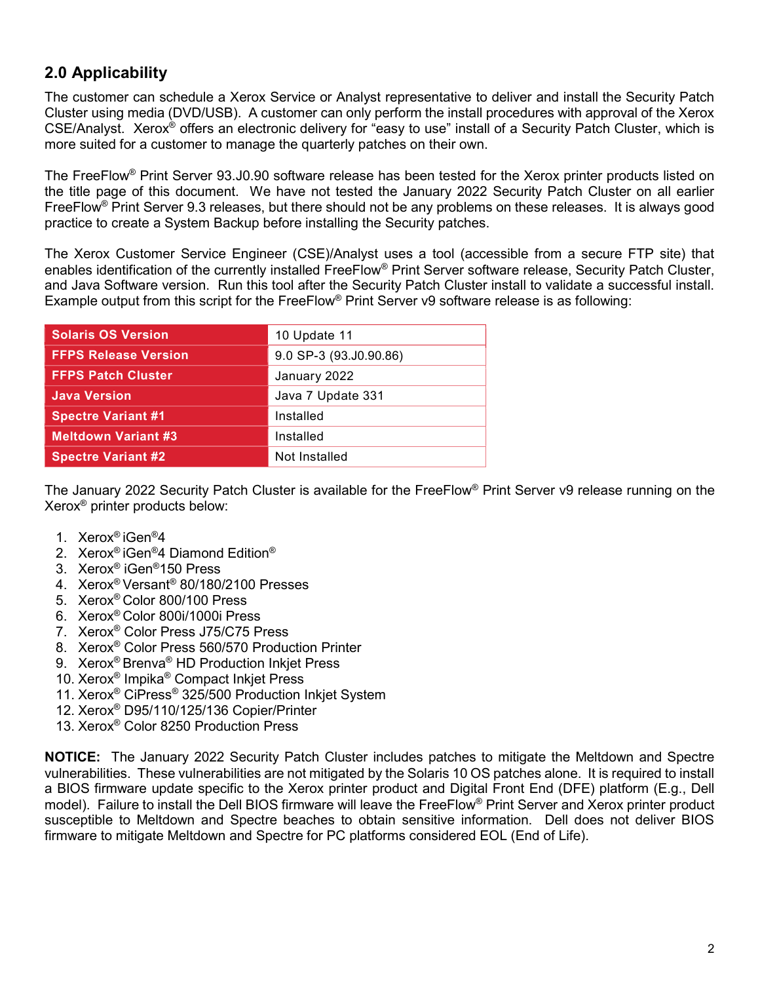## 2.0 Applicability

The customer can schedule a Xerox Service or Analyst representative to deliver and install the Security Patch Cluster using media (DVD/USB). A customer can only perform the install procedures with approval of the Xerox CSE/Analyst. Xerox® offers an electronic delivery for "easy to use" install of a Security Patch Cluster, which is more suited for a customer to manage the quarterly patches on their own.

The FreeFlow® Print Server 93.J0.90 software release has been tested for the Xerox printer products listed on the title page of this document. We have not tested the January 2022 Security Patch Cluster on all earlier FreeFlow® Print Server 9.3 releases, but there should not be any problems on these releases. It is always good practice to create a System Backup before installing the Security patches.

The Xerox Customer Service Engineer (CSE)/Analyst uses a tool (accessible from a secure FTP site) that enables identification of the currently installed FreeFlow® Print Server software release, Security Patch Cluster, and Java Software version. Run this tool after the Security Patch Cluster install to validate a successful install. Example output from this script for the FreeFlow® Print Server v9 software release is as following:

| <b>Solaris OS Version</b>   | 10 Update 11           |  |
|-----------------------------|------------------------|--|
| <b>FFPS Release Version</b> | 9.0 SP-3 (93.J0.90.86) |  |
| <b>FFPS Patch Cluster</b>   | January 2022           |  |
| <b>Java Version</b>         | Java 7 Update 331      |  |
| <b>Spectre Variant #1</b>   | Installed              |  |
| <b>Meltdown Variant #3</b>  | Installed              |  |
| <b>Spectre Variant #2</b>   | Not Installed          |  |

The January 2022 Security Patch Cluster is available for the FreeFlow® Print Server v9 release running on the Xerox® printer products below:

- 1. Xerox® iGen®4
- 2. Xerox<sup>®</sup> iGen<sup>®</sup>4 Diamond Edition<sup>®</sup>
- 3. Xerox® iGen®150 Press
- 4. Xerox® Versant® 80/180/2100 Presses
- 5. Xerox® Color 800/100 Press
- 6. Xerox® Color 800i/1000i Press
- 7. Xerox® Color Press J75/C75 Press
- 8. Xerox® Color Press 560/570 Production Printer
- 9. Xerox® Brenva® HD Production Inkjet Press
- 10. Xerox® Impika® Compact Inkjet Press
- 11. Xerox® CiPress® 325/500 Production Inkjet System
- 12. Xerox® D95/110/125/136 Copier/Printer
- 13. Xerox® Color 8250 Production Press

NOTICE: The January 2022 Security Patch Cluster includes patches to mitigate the Meltdown and Spectre vulnerabilities. These vulnerabilities are not mitigated by the Solaris 10 OS patches alone. It is required to install a BIOS firmware update specific to the Xerox printer product and Digital Front End (DFE) platform (E.g., Dell model). Failure to install the Dell BIOS firmware will leave the FreeFlow® Print Server and Xerox printer product susceptible to Meltdown and Spectre beaches to obtain sensitive information. Dell does not deliver BIOS firmware to mitigate Meltdown and Spectre for PC platforms considered EOL (End of Life).